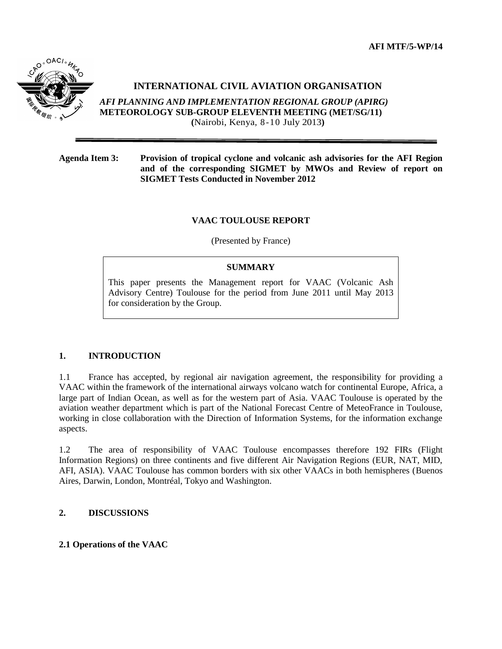**AFI MTF/5-WP/14**



# **INTERNATIONAL CIVIL AVIATION ORGANISATION**

*AFI PLANNING AND IMPLEMENTATION REGIONAL GROUP (APIRG)* **METEOROLOGY SUB-GROUP ELEVENTH MEETING (MET/SG/11) (**Nairobi, Kenya, 8-10 July 2013**)**

**Agenda Item 3: Provision of tropical cyclone and volcanic ash advisories for the AFI Region and of the corresponding SIGMET by MWOs and Review of report on SIGMET Tests Conducted in November 2012**

#### **VAAC TOULOUSE REPORT**

(Presented by France)

### **SUMMARY**

This paper presents the Management report for VAAC (Volcanic Ash Advisory Centre) Toulouse for the period from June 2011 until May 2013 for consideration by the Group.

# **1. INTRODUCTION**

1.1 France has accepted, by regional air navigation agreement, the responsibility for providing a VAAC within the framework of the international airways volcano watch for continental Europe, Africa, a large part of Indian Ocean, as well as for the western part of Asia. VAAC Toulouse is operated by the aviation weather department which is part of the National Forecast Centre of MeteoFrance in Toulouse, working in close collaboration with the Direction of Information Systems, for the information exchange aspects.

1.2 The area of responsibility of VAAC Toulouse encompasses therefore 192 FIRs (Flight Information Regions) on three continents and five different Air Navigation Regions (EUR, NAT, MID, AFI, ASIA). VAAC Toulouse has common borders with six other VAACs in both hemispheres (Buenos Aires, Darwin, London, Montréal, Tokyo and Washington.

# **2. DISCUSSIONS**

#### **2.1 Operations of the VAAC**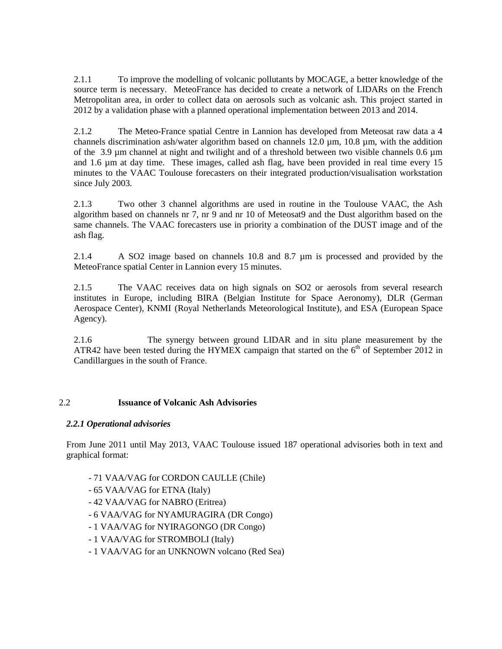2.1.1 To improve the modelling of volcanic pollutants by MOCAGE, a better knowledge of the source term is necessary. MeteoFrance has decided to create a network of LIDARs on the French Metropolitan area, in order to collect data on aerosols such as volcanic ash. This project started in 2012 by a validation phase with a planned operational implementation between 2013 and 2014.

2.1.2 The Meteo-France spatial Centre in Lannion has developed from Meteosat raw data a 4 channels discrimination ash/water algorithm based on channels  $12.0 \mu m$ ,  $10.8 \mu m$ , with the addition of the  $3.9 \mu$ m channel at night and twilight and of a threshold between two visible channels 0.6  $\mu$ m and 1.6 µm at day time. These images, called ash flag, have been provided in real time every 15 minutes to the VAAC Toulouse forecasters on their integrated production/visualisation workstation since July 2003.

2.1.3 Two other 3 channel algorithms are used in routine in the Toulouse VAAC, the Ash algorithm based on channels nr 7, nr 9 and nr 10 of Meteosat9 and the Dust algorithm based on the same channels. The VAAC forecasters use in priority a combination of the DUST image and of the ash flag.

2.1.4 A SO2 image based on channels 10.8 and 8.7 µm is processed and provided by the MeteoFrance spatial Center in Lannion every 15 minutes.

2.1.5 The VAAC receives data on high signals on SO2 or aerosols from several research institutes in Europe, including BIRA (Belgian Institute for Space Aeronomy), DLR (German Aerospace Center), KNMI (Royal Netherlands Meteorological Institute), and ESA (European Space Agency).

2.1.6 The synergy between ground LIDAR and in situ plane measurement by the ATR42 have been tested during the HYMEX campaign that started on the  $6<sup>th</sup>$  of September 2012 in Candillargues in the south of France.

#### 2.2 **Issuance of Volcanic Ash Advisories**

#### *2.2.1 Operational advisories*

From June 2011 until May 2013, VAAC Toulouse issued 187 operational advisories both in text and graphical format:

- 71 VAA/VAG for CORDON CAULLE (Chile)
- 65 VAA/VAG for ETNA (Italy)
- 42 VAA/VAG for NABRO (Eritrea)
- 6 VAA/VAG for NYAMURAGIRA (DR Congo)
- 1 VAA/VAG for NYIRAGONGO (DR Congo)
- 1 VAA/VAG for STROMBOLI (Italy)
- 1 VAA/VAG for an UNKNOWN volcano (Red Sea)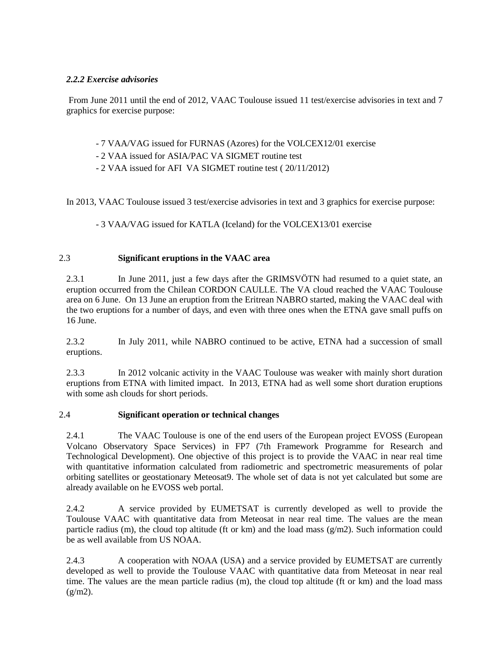### *2.2.2 Exercise advisories*

From June 2011 until the end of 2012, VAAC Toulouse issued 11 test/exercise advisories in text and 7 graphics for exercise purpose:

- 7 VAA/VAG issued for FURNAS (Azores) for the VOLCEX12/01 exercise
- 2 VAA issued for ASIA/PAC VA SIGMET routine test
- 2 VAA issued for AFI VA SIGMET routine test ( 20/11/2012)

In 2013, VAAC Toulouse issued 3 test/exercise advisories in text and 3 graphics for exercise purpose:

- 3 VAA/VAG issued for KATLA (Iceland) for the VOLCEX13/01 exercise

### 2.3 **Significant eruptions in the VAAC area**

2.3.1 In June 2011, just a few days after the GRIMSVÖTN had resumed to a quiet state, an eruption occurred from the Chilean CORDON CAULLE. The VA cloud reached the VAAC Toulouse area on 6 June. On 13 June an eruption from the Eritrean NABRO started, making the VAAC deal with the two eruptions for a number of days, and even with three ones when the ETNA gave small puffs on 16 June.

2.3.2 In July 2011, while NABRO continued to be active, ETNA had a succession of small eruptions.

2.3.3 In 2012 volcanic activity in the VAAC Toulouse was weaker with mainly short duration eruptions from ETNA with limited impact. In 2013, ETNA had as well some short duration eruptions with some ash clouds for short periods.

### 2.4 **Significant operation or technical changes**

2.4.1 The VAAC Toulouse is one of the end users of the European project EVOSS (European Volcano Observatory Space Services) in FP7 (7th Framework Programme for Research and Technological Development). One objective of this project is to provide the VAAC in near real time with quantitative information calculated from radiometric and spectrometric measurements of polar orbiting satellites or geostationary Meteosat9. The whole set of data is not yet calculated but some are already available on he EVOSS web portal.

2.4.2 A service provided by EUMETSAT is currently developed as well to provide the Toulouse VAAC with quantitative data from Meteosat in near real time. The values are the mean particle radius (m), the cloud top altitude (ft or km) and the load mass  $(g/m2)$ . Such information could be as well available from US NOAA.

2.4.3 A cooperation with NOAA (USA) and a service provided by EUMETSAT are currently developed as well to provide the Toulouse VAAC with quantitative data from Meteosat in near real time. The values are the mean particle radius (m), the cloud top altitude (ft or km) and the load mass  $(g/m2)$ .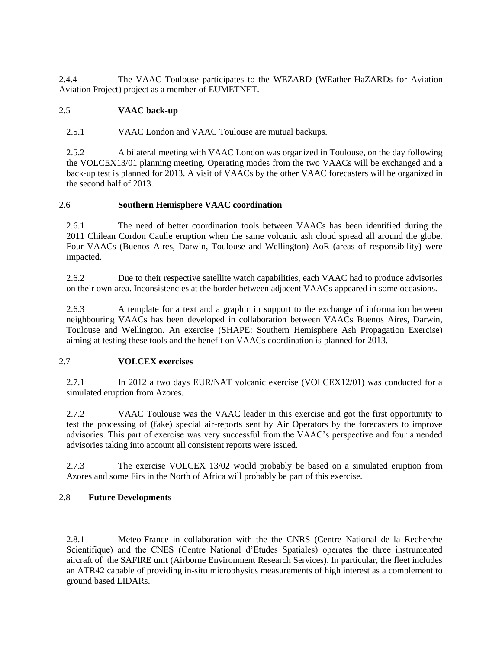2.4.4 The VAAC Toulouse participates to the WEZARD (WEather HaZARDs for Aviation Aviation Project) project as a member of EUMETNET.

# 2.5 **VAAC back-up**

2.5.1 VAAC London and VAAC Toulouse are mutual backups.

2.5.2 A bilateral meeting with VAAC London was organized in Toulouse, on the day following the VOLCEX13/01 planning meeting. Operating modes from the two VAACs will be exchanged and a back-up test is planned for 2013. A visit of VAACs by the other VAAC forecasters will be organized in the second half of 2013.

### 2.6 **Southern Hemisphere VAAC coordination**

2.6.1 The need of better coordination tools between VAACs has been identified during the 2011 Chilean Cordon Caulle eruption when the same volcanic ash cloud spread all around the globe. Four VAACs (Buenos Aires, Darwin, Toulouse and Wellington) AoR (areas of responsibility) were impacted.

2.6.2 Due to their respective satellite watch capabilities, each VAAC had to produce advisories on their own area. Inconsistencies at the border between adjacent VAACs appeared in some occasions.

2.6.3 A template for a text and a graphic in support to the exchange of information between neighbouring VAACs has been developed in collaboration between VAACs Buenos Aires, Darwin, Toulouse and Wellington. An exercise (SHAPE: Southern Hemisphere Ash Propagation Exercise) aiming at testing these tools and the benefit on VAACs coordination is planned for 2013.

#### 2.7 **VOLCEX exercises**

2.7.1 In 2012 a two days EUR/NAT volcanic exercise (VOLCEX12/01) was conducted for a simulated eruption from Azores.

2.7.2 VAAC Toulouse was the VAAC leader in this exercise and got the first opportunity to test the processing of (fake) special air-reports sent by Air Operators by the forecasters to improve advisories. This part of exercise was very successful from the VAAC's perspective and four amended advisories taking into account all consistent reports were issued.

2.7.3 The exercise VOLCEX 13/02 would probably be based on a simulated eruption from Azores and some Firs in the North of Africa will probably be part of this exercise.

# 2.8 **Future Developments**

2.8.1 Meteo-France in collaboration with the the CNRS (Centre National de la Recherche Scientifique) and the CNES (Centre National d'Etudes Spatiales) operates the three instrumented aircraft of the SAFIRE unit (Airborne Environment Research Services). In particular, the fleet includes an ATR42 capable of providing in-situ microphysics measurements of high interest as a complement to ground based LIDARs.